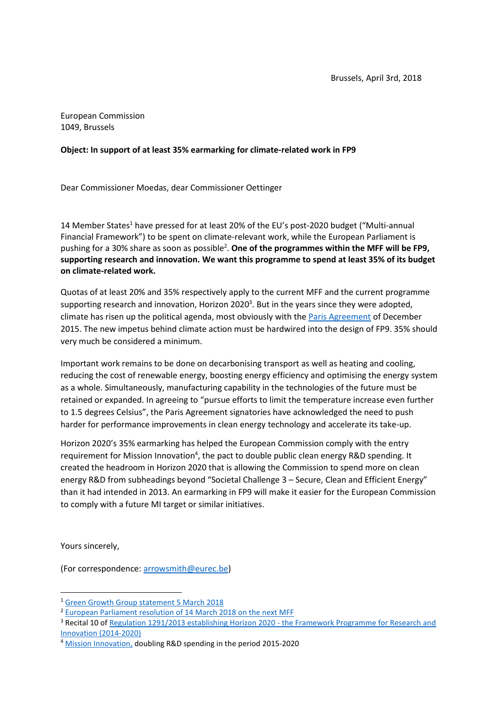European Commission 1049, Brussels

## **Object: In support of at least 35% earmarking for climate-related work in FP9**

Dear Commissioner Moedas, dear Commissioner Oettinger

14 Member States<sup>1</sup> have pressed for at least 20% of the EU's post-2020 budget ("Multi-annual Financial Framework") to be spent on climate-relevant work, while the European Parliament is pushing for a 30% share as soon as possible<sup>2</sup>. One of the programmes within the MFF will be FP9, **supporting research and innovation. We want this programme to spend at least 35% of its budget on climate-related work.**

Quotas of at least 20% and 35% respectively apply to the current MFF and the current programme supporting research and innovation, Horizon 2020<sup>3</sup>. But in the years since they were adopted, climate has risen up the political agenda, most obviously with th[e Paris Agreement](http://unfccc.int/paris_agreement/items/9485.php) of December 2015. The new impetus behind climate action must be hardwired into the design of FP9. 35% should very much be considered a minimum.

Important work remains to be done on decarbonising transport as well as heating and cooling, reducing the cost of renewable energy, boosting energy efficiency and optimising the energy system as a whole. Simultaneously, manufacturing capability in the technologies of the future must be retained or expanded. In agreeing to "pursue efforts to limit the temperature increase even further to 1.5 degrees Celsius", the Paris Agreement signatories have acknowledged the need to push harder for performance improvements in clean energy technology and accelerate its take-up.

Horizon 2020's 35% earmarking has helped the European Commission comply with the entry requirement for Mission Innovation<sup>4</sup>, the pact to double public clean energy R&D spending. It created the headroom in Horizon 2020 that is allowing the Commission to spend more on clean energy R&D from subheadings beyond "Societal Challenge 3 – Secure, Clean and Efficient Energy" than it had intended in 2013. An earmarking in FP9 will make it easier for the European Commission to comply with a future MI target or similar initiatives.

Yours sincerely,

**.** 

(For correspondence: [arrowsmith@eurec.be\)](mailto:arrowsmith@eurec.be)

<sup>1</sup> [Green Growth Group statement 5 March 2018](http://www.bmub.bund.de/en/service/details-europe-and-environment/artikel/statement-of-green-growth-group-2/)

<sup>2</sup> [European Parliament resolution of 14 March 2018 on the next MFF](http://www.europarl.europa.eu/sides/getDoc.do?type=TA&language=EN&reference=P8-TA-2018-0075)

<sup>&</sup>lt;sup>3</sup> Recital 10 of [Regulation 1291/2013 establishing Horizon 2020 -](https://ec.europa.eu/research/participants/data/ref/h2020/legal_basis/fp/h2020-eu-establact_en.pdf) the Framework Programme for Research and [Innovation \(2014-2020\)](https://ec.europa.eu/research/participants/data/ref/h2020/legal_basis/fp/h2020-eu-establact_en.pdf)

<sup>&</sup>lt;sup>4</sup> [Mission Innovation,](http://mission-innovation.net/) doubling R&D spending in the period 2015-2020